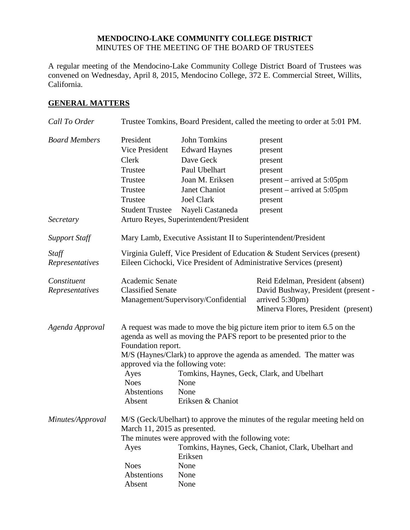#### **MENDOCINO-LAKE COMMUNITY COLLEGE DISTRICT** MINUTES OF THE MEETING OF THE BOARD OF TRUSTEES

A regular meeting of the Mendocino-Lake Community College District Board of Trustees was convened on Wednesday, April 8, 2015, Mendocino College, 372 E. Commercial Street, Willits, California.

#### **GENERAL MATTERS**

| Call To Order                     | Trustee Tomkins, Board President, called the meeting to order at 5:01 PM.                                                                                                                                                                                                                                                                                                                                             |                                                                                                                                                                                           |                                                                                                                                   |
|-----------------------------------|-----------------------------------------------------------------------------------------------------------------------------------------------------------------------------------------------------------------------------------------------------------------------------------------------------------------------------------------------------------------------------------------------------------------------|-------------------------------------------------------------------------------------------------------------------------------------------------------------------------------------------|-----------------------------------------------------------------------------------------------------------------------------------|
| <b>Board Members</b><br>Secretary | President<br><b>Vice President</b><br>Clerk<br>Trustee<br>Trustee<br>Trustee<br>Trustee<br><b>Student Trustee</b>                                                                                                                                                                                                                                                                                                     | John Tomkins<br><b>Edward Haynes</b><br>Dave Geck<br>Paul Ubelhart<br>Joan M. Eriksen<br>Janet Chaniot<br><b>Joel Clark</b><br>Nayeli Castaneda<br>Arturo Reyes, Superintendent/President | present<br>present<br>present<br>present<br>$present - arrived at 5:05pm$<br>$present - arrived at 5:05pm$<br>present<br>present  |
| <b>Support Staff</b>              |                                                                                                                                                                                                                                                                                                                                                                                                                       | Mary Lamb, Executive Assistant II to Superintendent/President                                                                                                                             |                                                                                                                                   |
| Staff<br>Representatives          | Virginia Guleff, Vice President of Education & Student Services (present)<br>Eileen Cichocki, Vice President of Administrative Services (present)                                                                                                                                                                                                                                                                     |                                                                                                                                                                                           |                                                                                                                                   |
| Constituent<br>Representatives    | Academic Senate<br><b>Classified Senate</b>                                                                                                                                                                                                                                                                                                                                                                           | Management/Supervisory/Confidential                                                                                                                                                       | Reid Edelman, President (absent)<br>David Bushway, President (present -<br>arrived 5:30pm)<br>Minerva Flores, President (present) |
| Agenda Approval                   | A request was made to move the big picture item prior to item 6.5 on the<br>agenda as well as moving the PAFS report to be presented prior to the<br>Foundation report.<br>M/S (Haynes/Clark) to approve the agenda as amended. The matter was<br>approved via the following vote:<br>Ayes<br>Tomkins, Haynes, Geck, Clark, and Ubelhart<br><b>Noes</b><br>None<br>Abstentions<br>None<br>Eriksen & Chaniot<br>Absent |                                                                                                                                                                                           |                                                                                                                                   |
| Minutes/Approval                  | March 11, 2015 as presented.<br>Ayes<br><b>Noes</b><br>Abstentions<br>Absent                                                                                                                                                                                                                                                                                                                                          | The minutes were approved with the following vote:<br>Eriksen<br>None<br>None<br>None                                                                                                     | M/S (Geck/Ubelhart) to approve the minutes of the regular meeting held on<br>Tomkins, Haynes, Geck, Chaniot, Clark, Ubelhart and  |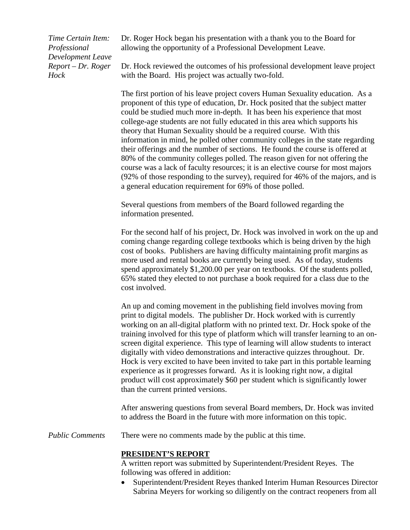*Time Certain Item: Professional Development Leave Report – Dr. Roger Hock*

Dr. Roger Hock began his presentation with a thank you to the Board for allowing the opportunity of a Professional Development Leave.

Dr. Hock reviewed the outcomes of his professional development leave project with the Board. His project was actually two-fold.

The first portion of his leave project covers Human Sexuality education. As a proponent of this type of education, Dr. Hock posited that the subject matter could be studied much more in-depth. It has been his experience that most college-age students are not fully educated in this area which supports his theory that Human Sexuality should be a required course. With this information in mind, he polled other community colleges in the state regarding their offerings and the number of sections. He found the course is offered at 80% of the community colleges polled. The reason given for not offering the course was a lack of faculty resources; it is an elective course for most majors (92% of those responding to the survey), required for 46% of the majors, and is a general education requirement for 69% of those polled.

Several questions from members of the Board followed regarding the information presented.

For the second half of his project, Dr. Hock was involved in work on the up and coming change regarding college textbooks which is being driven by the high cost of books. Publishers are having difficulty maintaining profit margins as more used and rental books are currently being used. As of today, students spend approximately \$1,200.00 per year on textbooks. Of the students polled, 65% stated they elected to not purchase a book required for a class due to the cost involved.

An up and coming movement in the publishing field involves moving from print to digital models. The publisher Dr. Hock worked with is currently working on an all-digital platform with no printed text. Dr. Hock spoke of the training involved for this type of platform which will transfer learning to an onscreen digital experience. This type of learning will allow students to interact digitally with video demonstrations and interactive quizzes throughout. Dr. Hock is very excited to have been invited to take part in this portable learning experience as it progresses forward. As it is looking right now, a digital product will cost approximately \$60 per student which is significantly lower than the current printed versions.

After answering questions from several Board members, Dr. Hock was invited to address the Board in the future with more information on this topic.

*Public Comments* There were no comments made by the public at this time.

#### **PRESIDENT'S REPORT**

A written report was submitted by Superintendent/President Reyes. The following was offered in addition:

• Superintendent/President Reyes thanked Interim Human Resources Director Sabrina Meyers for working so diligently on the contract reopeners from all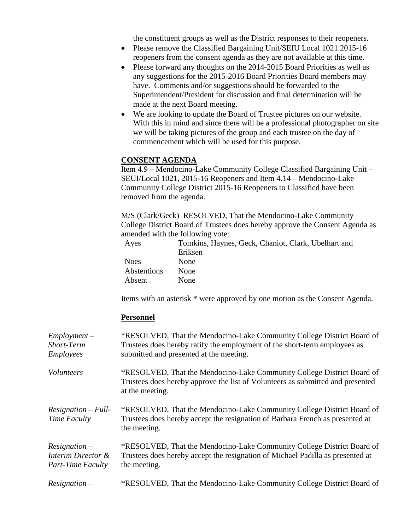the constituent groups as well as the District responses to their reopeners.

- Please remove the Classified Bargaining Unit/SEIU Local 1021 2015-16 reopeners from the consent agenda as they are not available at this time.
- Please forward any thoughts on the 2014-2015 Board Priorities as well as any suggestions for the 2015-2016 Board Priorities Board members may have. Comments and/or suggestions should be forwarded to the Superintendent/President for discussion and final determination will be made at the next Board meeting.
- We are looking to update the Board of Trustee pictures on our website. With this in mind and since there will be a professional photographer on site we will be taking pictures of the group and each trustee on the day of commencement which will be used for this purpose.

#### **CONSENT AGENDA**

Item 4.9 – Mendocino-Lake Community College Classified Bargaining Unit – SEUI/Local 1021, 2015-16 Reopeners and Item 4.14 – Mendocino-Lake Community College District 2015-16 Reopeners to Classified have been removed from the agenda.

M/S (Clark/Geck) RESOLVED, That the Mendocino-Lake Community College District Board of Trustees does hereby approve the Consent Agenda as amended with the following vote:

| Ayes        | Tomkins, Haynes, Geck, Chaniot, Clark, Ubelhart and |
|-------------|-----------------------------------------------------|
|             | Eriksen                                             |
| <b>Noes</b> | <b>None</b>                                         |
| Abstentions | None                                                |
| Absent      | <b>None</b>                                         |

Items with an asterisk \* were approved by one motion as the Consent Agenda.

#### **Personnel**

| $Employment -$<br>Short-Term<br><b>Employees</b>                  | *RESOLVED, That the Mendocino-Lake Community College District Board of<br>Trustees does hereby ratify the employment of the short-term employees as<br>submitted and presented at the meeting. |
|-------------------------------------------------------------------|------------------------------------------------------------------------------------------------------------------------------------------------------------------------------------------------|
| <i>Volunteers</i>                                                 | *RESOLVED, That the Mendocino-Lake Community College District Board of<br>Trustees does hereby approve the list of Volunteers as submitted and presented<br>at the meeting.                    |
| $Resignation - Full-$<br>Time Faculty                             | *RESOLVED, That the Mendocino-Lake Community College District Board of<br>Trustees does hereby accept the resignation of Barbara French as presented at<br>the meeting.                        |
| $Resignation -$<br>Interim Director &<br><b>Part-Time Faculty</b> | *RESOLVED, That the Mendocino-Lake Community College District Board of<br>Trustees does hereby accept the resignation of Michael Padilla as presented at<br>the meeting.                       |
| $Resignation -$                                                   | *RESOLVED, That the Mendocino-Lake Community College District Board of                                                                                                                         |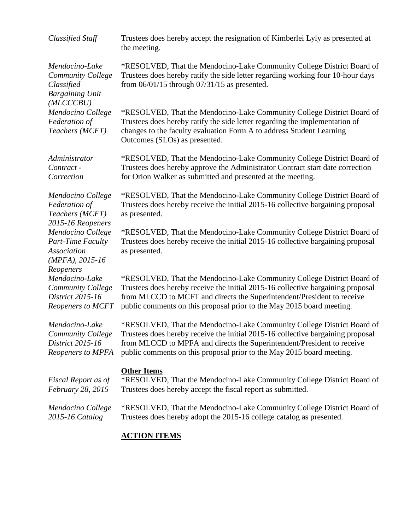| <b>Classified Staff</b>                                                                        | Trustees does hereby accept the resignation of Kimberlei Lyly as presented at<br>the meeting.                                                                                                                                                                                                                |
|------------------------------------------------------------------------------------------------|--------------------------------------------------------------------------------------------------------------------------------------------------------------------------------------------------------------------------------------------------------------------------------------------------------------|
| Mendocino-Lake<br>Community College<br>Classified<br><b>Bargaining Unit</b><br>(MLCCCBU)       | *RESOLVED, That the Mendocino-Lake Community College District Board of<br>Trustees does hereby ratify the side letter regarding working four 10-hour days<br>from $06/01/15$ through $07/31/15$ as presented.                                                                                                |
| Mendocino College<br>Federation of<br>Teachers (MCFT)                                          | *RESOLVED, That the Mendocino-Lake Community College District Board of<br>Trustees does hereby ratify the side letter regarding the implementation of<br>changes to the faculty evaluation Form A to address Student Learning<br>Outcomes (SLOs) as presented.                                               |
| Administrator<br>Contract -<br>Correction                                                      | *RESOLVED, That the Mendocino-Lake Community College District Board of<br>Trustees does hereby approve the Administrator Contract start date correction<br>for Orion Walker as submitted and presented at the meeting.                                                                                       |
| Mendocino College<br>Federation of<br>Teachers (MCFT)<br>2015-16 Reopeners                     | *RESOLVED, That the Mendocino-Lake Community College District Board of<br>Trustees does hereby receive the initial 2015-16 collective bargaining proposal<br>as presented.                                                                                                                                   |
| Mendocino College<br><b>Part-Time Faculty</b><br>Association<br>$(MPFA), 2015-16$<br>Reopeners | *RESOLVED, That the Mendocino-Lake Community College District Board of<br>Trustees does hereby receive the initial 2015-16 collective bargaining proposal<br>as presented.                                                                                                                                   |
| Mendocino-Lake<br><b>Community College</b><br>District 2015-16<br><b>Reopeners to MCFT</b>     | *RESOLVED, That the Mendocino-Lake Community College District Board of<br>Trustees does hereby receive the initial 2015-16 collective bargaining proposal<br>from MLCCD to MCFT and directs the Superintendent/President to receive<br>public comments on this proposal prior to the May 2015 board meeting. |
| Mendocino-Lake<br>Community College<br>District 2015-16<br>Reopeners to MPFA                   | *RESOLVED, That the Mendocino-Lake Community College District Board of<br>Trustees does hereby receive the initial 2015-16 collective bargaining proposal<br>from MLCCD to MPFA and directs the Superintendent/President to receive<br>public comments on this proposal prior to the May 2015 board meeting. |
| Fiscal Report as of<br><i>February 28, 2015</i>                                                | <b>Other Items</b><br>*RESOLVED, That the Mendocino-Lake Community College District Board of<br>Trustees does hereby accept the fiscal report as submitted.                                                                                                                                                  |
| Mendocino College<br>2015-16 Catalog                                                           | *RESOLVED, That the Mendocino-Lake Community College District Board of<br>Trustees does hereby adopt the 2015-16 college catalog as presented.                                                                                                                                                               |

## **ACTION ITEMS**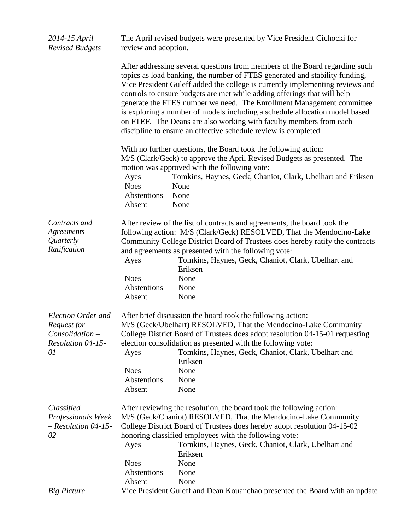| 2014-15 April<br><b>Revised Budgets</b>                                                | review and adoption.                         | The April revised budgets were presented by Vice President Cichocki for                                                                                                                                                                                                                                                                                                                                                                                                                                                                                                                                                  |
|----------------------------------------------------------------------------------------|----------------------------------------------|--------------------------------------------------------------------------------------------------------------------------------------------------------------------------------------------------------------------------------------------------------------------------------------------------------------------------------------------------------------------------------------------------------------------------------------------------------------------------------------------------------------------------------------------------------------------------------------------------------------------------|
|                                                                                        |                                              | After addressing several questions from members of the Board regarding such<br>topics as load banking, the number of FTES generated and stability funding,<br>Vice President Guleff added the college is currently implementing reviews and<br>controls to ensure budgets are met while adding offerings that will help<br>generate the FTES number we need. The Enrollment Management committee<br>is exploring a number of models including a schedule allocation model based<br>on FTEF. The Deans are also working with faculty members from each<br>discipline to ensure an effective schedule review is completed. |
|                                                                                        | Ayes<br><b>Noes</b><br>Abstentions<br>Absent | With no further questions, the Board took the following action:<br>M/S (Clark/Geck) to approve the April Revised Budgets as presented. The<br>motion was approved with the following vote:<br>Tomkins, Haynes, Geck, Chaniot, Clark, Ubelhart and Eriksen<br>None<br>None<br>None                                                                                                                                                                                                                                                                                                                                        |
| Contracts and<br>$A$ greements $-$<br>Quarterly<br>Ratification                        | Ayes<br><b>Noes</b><br>Abstentions<br>Absent | After review of the list of contracts and agreements, the board took the<br>following action: M/S (Clark/Geck) RESOLVED, That the Mendocino-Lake<br>Community College District Board of Trustees does hereby ratify the contracts<br>and agreements as presented with the following vote:<br>Tomkins, Haynes, Geck, Chaniot, Clark, Ubelhart and<br>Eriksen<br>None<br>None<br>None                                                                                                                                                                                                                                      |
| Election Order and<br>Request for<br>Consolidation –<br><b>Resolution 04-15-</b><br>01 | Ayes<br><b>Noes</b><br>Abstentions<br>Absent | After brief discussion the board took the following action:<br>M/S (Geck/Ubelhart) RESOLVED, That the Mendocino-Lake Community<br>College District Board of Trustees does adopt resolution 04-15-01 requesting<br>election consolidation as presented with the following vote:<br>Tomkins, Haynes, Geck, Chaniot, Clark, Ubelhart and<br>Eriksen<br>None<br>None<br>None                                                                                                                                                                                                                                                 |
| Classified<br>Professionals Week<br>$-$ Resolution 04-15-<br>02                        | Ayes<br><b>Noes</b><br>Abstentions<br>Absent | After reviewing the resolution, the board took the following action:<br>M/S (Geck/Chaniot) RESOLVED, That the Mendocino-Lake Community<br>College District Board of Trustees does hereby adopt resolution 04-15-02<br>honoring classified employees with the following vote:<br>Tomkins, Haynes, Geck, Chaniot, Clark, Ubelhart and<br>Eriksen<br>None<br>None<br>None                                                                                                                                                                                                                                                   |
| <b>Big Picture</b>                                                                     |                                              | Vice President Guleff and Dean Kouanchao presented the Board with an update                                                                                                                                                                                                                                                                                                                                                                                                                                                                                                                                              |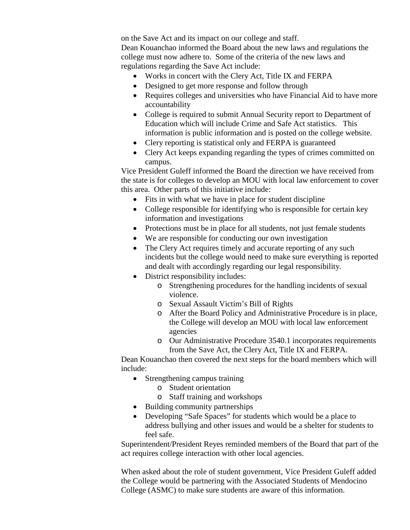on the Save Act and its impact on our college and staff. Dean Kouanchao informed the Board about the new laws and regulations the college must now adhere to. Some of the criteria of the new laws and regulations regarding the Save Act include:

- Works in concert with the Clery Act, Title IX and FERPA
- Designed to get more response and follow through
- Requires colleges and universities who have Financial Aid to have more accountability
- College is required to submit Annual Security report to Department of Education which will include Crime and Safe Act statistics. This information is public information and is posted on the college website.
- Clery reporting is statistical only and FERPA is guaranteed
- Clery Act keeps expanding regarding the types of crimes committed on campus.

Vice President Guleff informed the Board the direction we have received from the state is for colleges to develop an MOU with local law enforcement to cover this area. Other parts of this initiative include:

- Fits in with what we have in place for student discipline
- College responsible for identifying who is responsible for certain key information and investigations
- Protections must be in place for all students, not just female students
- We are responsible for conducting our own investigation
- The Clery Act requires timely and accurate reporting of any such incidents but the college would need to make sure everything is reported and dealt with accordingly regarding our legal responsibility.
- District responsibility includes:
	- o Strengthening procedures for the handling incidents of sexual violence.
	- o Sexual Assault Victim's Bill of Rights
	- o After the Board Policy and Administrative Procedure is in place, the College will develop an MOU with local law enforcement agencies
	- o Our Administrative Procedure 3540.1 incorporates requirements from the Save Act, the Clery Act, Title IX and FERPA.

Dean Kouanchao then covered the next steps for the board members which will include:

- Strengthening campus training
	- o Student orientation
	- o Staff training and workshops
- Building community partnerships
- Developing "Safe Spaces" for students which would be a place to address bullying and other issues and would be a shelter for students to feel safe.

Superintendent/President Reyes reminded members of the Board that part of the act requires college interaction with other local agencies.

When asked about the role of student government, Vice President Guleff added the College would be partnering with the Associated Students of Mendocino College (ASMC) to make sure students are aware of this information.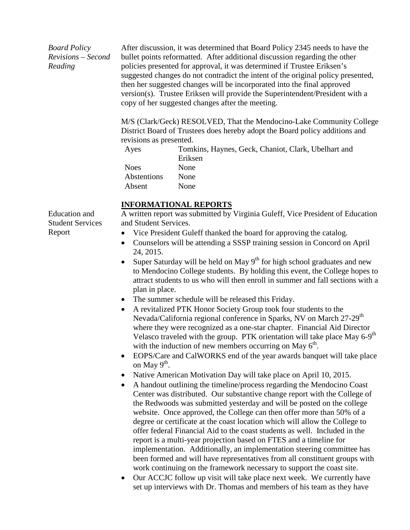*Board Policy Revisions – Second Reading*

After discussion, it was determined that Board Policy 2345 needs to have the bullet points reformatted. After additional discussion regarding the other policies presented for approval, it was determined if Trustee Eriksen's suggested changes do not contradict the intent of the original policy presented, then her suggested changes will be incorporated into the final approved version(s). Trustee Eriksen will provide the Superintendent/President with a copy of her suggested changes after the meeting.

M/S (Clark/Geck) RESOLVED, That the Mendocino-Lake Community College District Board of Trustees does hereby adopt the Board policy additions and revisions as presented.

| Ayes        | Tomkins, Haynes, Geck, Chaniot, Clark, Ubelhart and |
|-------------|-----------------------------------------------------|
|             | Eriksen                                             |
| <b>Noes</b> | <b>None</b>                                         |
| Abstentions | <b>None</b>                                         |
| Absent      | None                                                |
|             |                                                     |

#### **INFORMATIONAL REPORTS**

Education and Student Services Report

A written report was submitted by Virginia Guleff, Vice President of Education and Student Services.

- Vice President Guleff thanked the board for approving the catalog.
- Counselors will be attending a SSSP training session in Concord on April 24, 2015.
- Super Saturday will be held on May  $9<sup>th</sup>$  for high school graduates and new to Mendocino College students. By holding this event, the College hopes to attract students to us who will then enroll in summer and fall sections with a plan in place.
- The summer schedule will be released this Friday.
- A revitalized PTK Honor Society Group took four students to the Nevada/California regional conference in Sparks, NV on March 27-29<sup>th</sup> where they were recognized as a one-star chapter. Financial Aid Director Velasco traveled with the group. PTK orientation will take place May  $6-9<sup>th</sup>$ with the induction of new members occurring on May  $6<sup>th</sup>$ .
- EOPS/Care and CalWORKS end of the year awards banquet will take place on May  $9^{\text{th}}$ .
- Native American Motivation Day will take place on April 10, 2015.
- A handout outlining the timeline/process regarding the Mendocino Coast Center was distributed. Our substantive change report with the College of the Redwoods was submitted yesterday and will be posted on the college website. Once approved, the College can then offer more than 50% of a degree or certificate at the coast location which will allow the College to offer federal Financial Aid to the coast students as well. Included in the report is a multi-year projection based on FTES and a timeline for implementation. Additionally, an implementation steering committee has been formed and will have representatives from all constituent groups with work continuing on the framework necessary to support the coast site.
- Our ACCJC follow up visit will take place next week. We currently have set up interviews with Dr. Thomas and members of his team as they have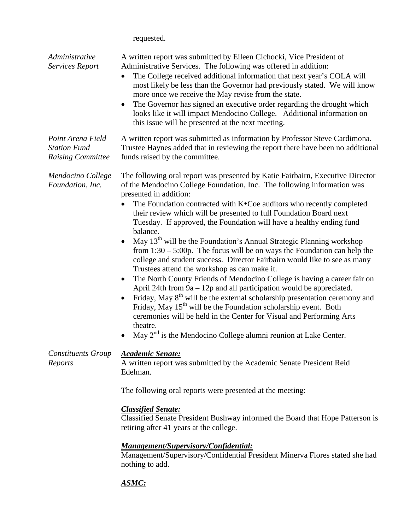| requested. |  |
|------------|--|
|------------|--|

| Administrative<br>Services Report                                    | A written report was submitted by Eileen Cichocki, Vice President of<br>Administrative Services. The following was offered in addition:<br>The College received additional information that next year's COLA will<br>$\bullet$<br>most likely be less than the Governor had previously stated. We will know<br>more once we receive the May revise from the state.<br>The Governor has signed an executive order regarding the drought which<br>$\bullet$<br>looks like it will impact Mendocino College. Additional information on<br>this issue will be presented at the next meeting.                                                                                                                                                                                                                                                                                                                                                                                                                                                                                                                                                                                                                                   |
|----------------------------------------------------------------------|----------------------------------------------------------------------------------------------------------------------------------------------------------------------------------------------------------------------------------------------------------------------------------------------------------------------------------------------------------------------------------------------------------------------------------------------------------------------------------------------------------------------------------------------------------------------------------------------------------------------------------------------------------------------------------------------------------------------------------------------------------------------------------------------------------------------------------------------------------------------------------------------------------------------------------------------------------------------------------------------------------------------------------------------------------------------------------------------------------------------------------------------------------------------------------------------------------------------------|
| Point Arena Field<br><b>Station Fund</b><br><b>Raising Committee</b> | A written report was submitted as information by Professor Steve Cardimona.<br>Trustee Haynes added that in reviewing the report there have been no additional<br>funds raised by the committee.                                                                                                                                                                                                                                                                                                                                                                                                                                                                                                                                                                                                                                                                                                                                                                                                                                                                                                                                                                                                                           |
| Mendocino College<br>Foundation, Inc.                                | The following oral report was presented by Katie Fairbairn, Executive Director<br>of the Mendocino College Foundation, Inc. The following information was<br>presented in addition:<br>The Foundation contracted with K•Coe auditors who recently completed<br>$\bullet$<br>their review which will be presented to full Foundation Board next<br>Tuesday. If approved, the Foundation will have a healthy ending fund<br>balance.<br>May 13 <sup>th</sup> will be the Foundation's Annual Strategic Planning workshop<br>from $1:30 - 5:00p$ . The focus will be on ways the Foundation can help the<br>college and student success. Director Fairbairn would like to see as many<br>Trustees attend the workshop as can make it.<br>The North County Friends of Mendocino College is having a career fair on<br>April 24th from $9a - 12p$ and all participation would be appreciated.<br>Friday, May 8 <sup>th</sup> will be the external scholarship presentation ceremony and<br>Friday, May 15 <sup>th</sup> will be the Foundation scholarship event. Both<br>ceremonies will be held in the Center for Visual and Performing Arts<br>theatre.<br>May $2nd$ is the Mendocino College alumni reunion at Lake Center. |
| <b>Constituents Group</b><br>Reports                                 | <b>Academic Senate:</b><br>A written report was submitted by the Academic Senate President Reid<br>Edelman.<br>The following oral reports were presented at the meeting:<br><b>Classified Senate:</b>                                                                                                                                                                                                                                                                                                                                                                                                                                                                                                                                                                                                                                                                                                                                                                                                                                                                                                                                                                                                                      |
|                                                                      | Classified Senate President Bushway informed the Board that Hope Patterson is<br>retiring after 41 years at the college.<br><u> Management/Supervisory/Confidential:</u><br>Management/Supervisory/Confidential President Minerva Flores stated she had<br>nothing to add.                                                                                                                                                                                                                                                                                                                                                                                                                                                                                                                                                                                                                                                                                                                                                                                                                                                                                                                                                 |

# *ASMC:*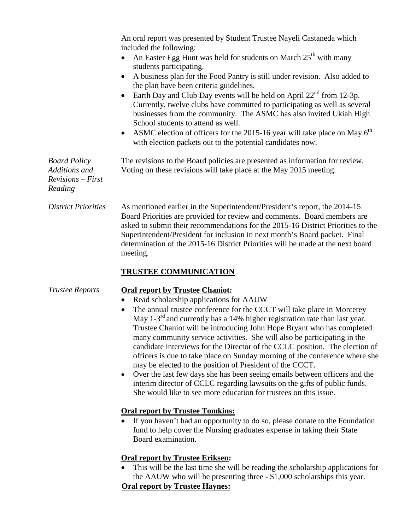An oral report was presented by Student Trustee Nayeli Castaneda which included the following:

- An Easter Egg Hunt was held for students on March  $25<sup>th</sup>$  with many students participating.
- A business plan for the Food Pantry is still under revision. Also added to the plan have been criteria guidelines.
- Earth Day and Club Day events will be held on April  $22<sup>nd</sup>$  from 12-3p. Currently, twelve clubs have committed to participating as well as several businesses from the community. The ASMC has also invited Ukiah High School students to attend as well.
- ASMC election of officers for the 2015-16 year will take place on May  $6<sup>th</sup>$ with election packets out to the potential candidates now.

*Board Policy Additions and Revisions – First Reading*

Voting on these revisions will take place at the May 2015 meeting.

The revisions to the Board policies are presented as information for review.

*District Priorities* As mentioned earlier in the Superintendent/President's report, the 2014-15 Board Priorities are provided for review and comments. Board members are asked to submit their recommendations for the 2015-16 District Priorities to the Superintendent/President for inclusion in next month's Board packet. Final determination of the 2015-16 District Priorities will be made at the next board meeting.

## **TRUSTEE COMMUNICATION**

## *Trustee Reports* **Oral report by Trustee Chaniot:**

- Read scholarship applications for AAUW
- The annual trustee conference for the CCCT will take place in Monterey May 1-3<sup>rd</sup> and currently has a 14% higher registration rate than last year. Trustee Chaniot will be introducing John Hope Bryant who has completed many community service activities. She will also be participating in the candidate interviews for the Director of the CCLC position. The election of officers is due to take place on Sunday morning of the conference where she may be elected to the position of President of the CCCT.
- Over the last few days she has been seeing emails between officers and the interim director of CCLC regarding lawsuits on the gifts of public funds. She would like to see more education for trustees on this issue.

## **Oral report by Trustee Tomkins:**

• If you haven't had an opportunity to do so, please donate to the Foundation fund to help cover the Nursing graduates expense in taking their State Board examination.

## **Oral report by Trustee Eriksen:**

• This will be the last time she will be reading the scholarship applications for the AAUW who will be presenting three - \$1,000 scholarships this year.

## **Oral report by Trustee Haynes:**